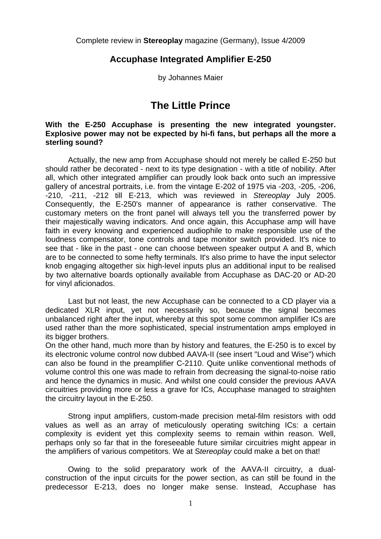Complete review in **Stereoplay** magazine (Germany), Issue 4/2009

## **Accuphase Integrated Amplifier E-250**

by Johannes Maier

## **The Little Prince**

## **With the E-250 Accuphase is presenting the new integrated youngster. Explosive power may not be expected by hi-fi fans, but perhaps all the more a sterling sound?**

 Actually, the new amp from Accuphase should not merely be called E-250 but should rather be decorated - next to its type designation - with a title of nobility. After all, which other integrated amplifier can proudly look back onto such an impressive gallery of ancestral portraits, i.e. from the vintage E-202 of 1975 via -203, -205, -206, -210, -211, -212 till E-213, which was reviewed in *Stereoplay* July 2005. Consequently, the E-250's manner of appearance is rather conservative. The customary meters on the front panel will always tell you the transferred power by their majestically waving indicators. And once again, this Accuphase amp will have faith in every knowing and experienced audiophile to make responsible use of the loudness compensator, tone controls and tape monitor switch provided. It's nice to see that - like in the past - one can choose between speaker output A and B, which are to be connected to some hefty terminals. It's also prime to have the input selector knob engaging altogether six high-level inputs plus an additional input to be realised by two alternative boards optionally available from Accuphase as DAC-20 or AD-20 for vinyl aficionados.

 Last but not least, the new Accuphase can be connected to a CD player via a dedicated XLR input, yet not necessarily so, because the signal becomes unbalanced right after the input, whereby at this spot some common amplifier ICs are used rather than the more sophisticated, special instrumentation amps employed in its bigger brothers.

On the other hand, much more than by history and features, the E-250 is to excel by its electronic volume control now dubbed AAVA-II (see insert "Loud and Wise") which can also be found in the preamplifier C-2110. Quite unlike conventional methods of volume control this one was made to refrain from decreasing the signal-to-noise ratio and hence the dynamics in music. And whilst one could consider the previous AAVA circuitries providing more or less a grave for ICs, Accuphase managed to straighten the circuitry layout in the E-250.

 Strong input amplifiers, custom-made precision metal-film resistors with odd values as well as an array of meticulously operating switching ICs: a certain complexity is evident yet this complexity seems to remain within reason. Well, perhaps only so far that in the foreseeable future similar circuitries might appear in the amplifiers of various competitors. We at S*tereoplay* could make a bet on that!

 Owing to the solid preparatory work of the AAVA-II circuitry, a dualconstruction of the input circuits for the power section, as can still be found in the predecessor E-213, does no longer make sense. Instead, Accuphase has